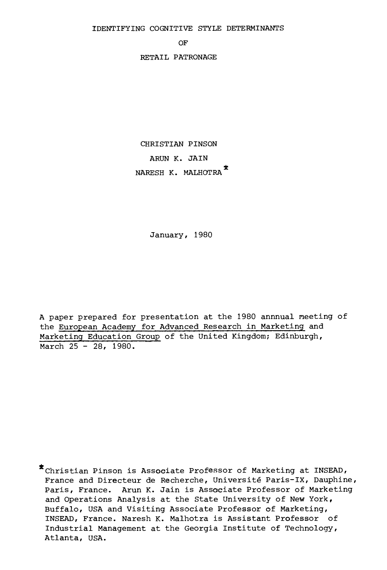IDENTIFYING COGNITIVE STYLE DETERMINANTS

OF

RETAIL PATRONAGE

CHRISTIAN PINSON ARUN K. JAIN NARESH K. MALHOTRA

January, 1980

A paper prepared for presentation at the 1980 annnual meeting of the European Academy for Advanced Research in Marketing and Marketing Education Group of the United Kingdom; Edinburgh, March 25 - 28, 1980.

Christian Pinson is Associate Professor of Marketing at INSEAD, France and Directeur de Recherche, Université Paris-IX, Dauphine, Paris, France. Arun K. Jain is Associate Professor of Marketing and Operations Analysis at the State University of New York, Buffalo, USA and Visiting Associate Professor of Marketing, INSEAD, France. Naresh K. Malhotra is Assistant Professor of Industrial Management at the Georgia Institute of Technology, Atlanta, USA.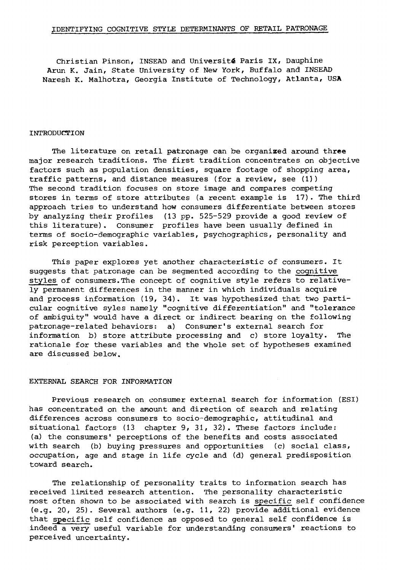Christian Pinson, INSEAD and Université Paris IX, Dauphine Arun K. Jain, State University of New York, Buffalo and INSEAD Naresh K. Maihotra, Georgia Institute of Technology, Atlanta, USA

#### INTRODUCTION

The literature on retail patronage can be organized around three major research traditions. The first tradition concentrates on objective factors such as population densities, square footage of shopping area, traffic patterns, and distance measures (for a review, see (1)) The second tradition focuses on store image and compares competing stores in terms of store attributes (a recent example is 17). The third approach tries to understand how consumers differentiate between stores by analyzing their profiles (13 pp. 525-529 provide a good review of this literature). Consumer profiles have been usually defined in terms of socio-demographic variables, psychographics, personality and risk perception variables.

This paper explores yet another characteristic of consumers. It suggests that patronage can be segmented according to the cognitive styles of consumers.The concept of cognitive style refers to relatively permanent differences in the manner in which individuals acquire and process information (19, 34). It was hypothesized that two particular cognitive syles namely "cognitive differentiation" and "tolerance of ambiguity" would have a direct or indirect bearing on the following patronage-related behaviors: a) Consumer's external search for information b) store attribute processing and c) store loyalty. The rationale for these variables and the whole set of hypotheses examined are discussed below.

#### EXTERNAL SEARCH FOR INFORMATION

Previous research on consumer external search for information (ESI) has concentrated on the amount and direction of search and relating differences across consumers to socio-demographic, attitudinal and situational factors (13 chapter 9, 31, 32). These factors include: (a) the consumers' perceptions of the benefits and costs associated with search (b) buying pressures and opportunities (c) social class, occupation, age and stage in life cycle and (d) general predisposition toward search.

The relationship of personality traits to information search has received limited research attention. The personality characteristic most often shown to be associated with search is specific self confidence (e.g. 20, 25). Several authors (e.g. 11, 22) provide additional evidence that specific self confidence as opposed to general self confidence is indeed a very useful variable for understanding consumers' reactions to perceived uncertainty.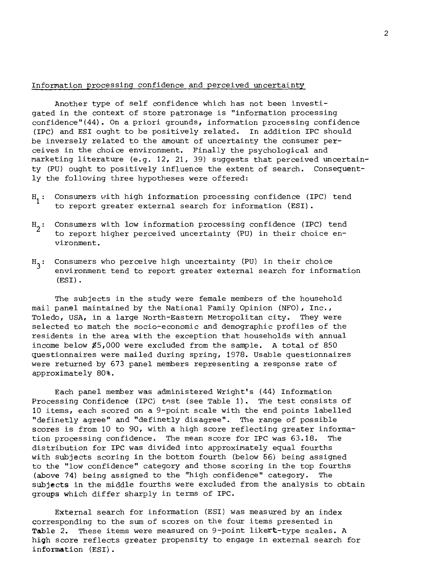# Information processing confidence and perceived uncertainty

Another type of self confidence which has not been investigated in the context of store patronage is "information processing confidence"(44). On a priori grounds, information processing confidence (IPC) and ESI ought to be positively related. In addition IPC should be inversely related to the amount of uncertainty the consumer perceives in the choice environment. Finally the psychological and marketing literature (e.g. 12, 21, 39) suggests that perceived uncertainty (PU) ought to positively influence the extent of search. Consequently the following three hypotheses were offered:

- $H_1$ : Consumers with high information processing confidence (IPC) tend to report greater external search for information (ESI).
- $H_2$ : Consumers with low information processing confidence (IPC) tend to report higher perceived uncertainty (PU) in their choice environment.
- $H<sub>2</sub>$ : Consumers who perceive high uncertainty (PU) in their choice environment tend to report greater external search for information (ESI).

The subjects in the study were female members of the household mail panel maintained by the National Family Opinion (NFO), Inc., Toledo, USA, in a large North-Eastern Metropolitan city. They were selected to match the socio-economic and demographic profiles of the residents in the area with the exception that households with annual income below \$5,000 were excluded from the sample. A total of 850 questionnaires were mailed during spring, 1978. Usable questionnaires were returned by 673 panel members representing a response rate of approximately 80%.

Each panel member was administered Wright's (44) Information Processing Confidence (IPC) test (see Table 1). The test consists of 10 items, each scored on a 9-point scale with the end points labelled "definetly agree" and "definetly disagree". The range of possible scores is from 10 to 90, with a high score reflecting greater information processing confidence. The mean score for IPC was 63.18. The distribution for IPC was divided into approximately equal fourths with subjects scoring in the bottom fourth (below 66) being assigned to the "low confidence" category and those scoring in the top fourths (above 74) being assigned to the "high confidence" category. The subjects in the middle fourths were excluded from the analysis to obtain groups which differ sharply in terms of IPC.

External search for information (ESI) was measured by an index corresponding to the sum of scores on the four items presented in Table 2. These items were measured on 9-point likert-type scales. A high score reflects greater propensity to engage in external search for information (ESI).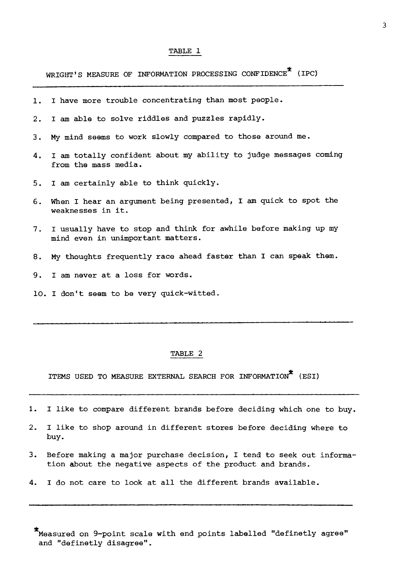WRIGHT'S MEASURE OF INFORMATION PROCESSING CONFIDENCE<sup>\*</sup> (IPC)

- 1. I have more trouble concentrating than most people.
- 2. I am able to solve riddles and puzzles rapidly.
- 3. My mind seems to work slowly compared to those around me.
- 4. I am totally confident about my ability to judge messages coming from the mass media.
- 5. I am certainly able to think quickly.
- 6. When I hear an argument being presented, I am quick to spot the weaknesses in it.
- 7. I usually have to stop and think for awhile before making up my mind even in unimportant matters.
- 8. My thoughts frequently race ahead faster than I can speak them.
- 9. I am never at a loss for words.
- 10. I don't seem to be very quick-witted.

## TABLE 2

ITEMS USED TO MEASURE EXTERNAL SEARCH FOR INFORMATION\* (ESI)

- 1. I like to compare different brands before deciding which one to buy.
- 2. I like to shop around in different stores before deciding where to buy.
- 3. Before making a major purchase decision, I tend to seek out information about the negative aspects of the product and brands.
- 4. I do not care to look at all the different brands available.

\* Measured on 9-point scale with end points labelled "definetly agree" and "definetly disagree".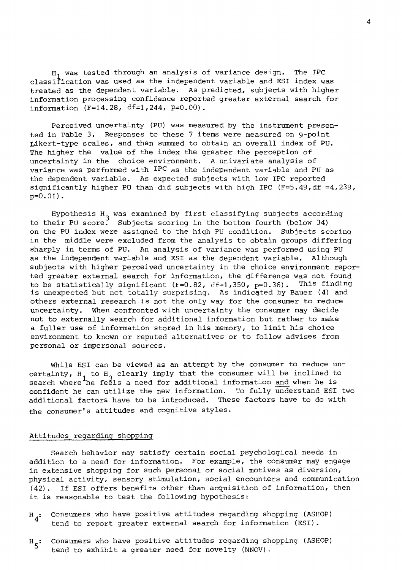H <sup>1</sup>was tested through an analysis of variance design. The IPC classification was used as the independent variable and ESI index was treated as the dependent variable. As predicted, subjects with higher information processing confidence reported greater external search for information  $(F=14.28, df=1,244, p=0.00)$ .

Perceived uncertainty (PU) was measured by the instrument presented in Table 3. Responses to these 7 items were measured on 9-point Likert-type scales, and then summed to obtain an overall index of PU. The higher the value of the index the greater the perception of uncertainty in the choice environment. A univariate analysis of variance was performed with IPC as the independent variable and PU as the dependent variable. As expected subjects with low IPC reported significantly higher PU than did subjects with high IPC  $(F=5.49, df = 4.239,$  $p=0.01$ ).

Hypothesis  $H_2$  was examined by first classifying subjects according to their PU score. Subjects scoring in the bottom fourth (below 34) on the PU index were assigned to the high PU condition. Subjects scoring in the middle were excluded from the analysis to obtain groups differing sharply in terms of PU. An analysis of variance was performed using PU as the independent variable and ESI as the dependent variable. Although subjects with higher perceived uncertainty in the choice environment reported greater external search for information, the difference was not found to be statistically significant (F=0.82, df=1,350, p=0.36). This finding is unexpected but not totally surprising. As indicated by Bauer (4) and others external research is not the only way for the consumer to reduce uncertainty. When confronted with uncertainty the consumer may decide not to externally search for additional information but rather to make a fuller use of information stored in his memory, to limit his choice environment to known or reputed alternatives or to follow advises from personal or impersonal sources.

While ESI can be viewed as an attempt by the consumer to reduce uncertainty,  $H_1$  to  $H_2$  clearly imply that the consumer will be inclined to<br>search whome the following for additional information and when he is search where  $\frac{1}{2}$  he feels a need for additional information and when he is confident he can utilize the new information. To fully understand ESI two additional factors have to be introduced. These factors have to do with the consumer's attitudes and cognitive styles.

## Attitudes regarding shopping

Search behavior may satisfy certain social psychological needs in addition to a need for information. For example, the consumer may engage in extensive shopping for such personal or social motives as diversion, physical activity, sensory stimulation, social encounters and communication (42). If ESI offers benefits other than acquisition of information, then it is reasonable to test the following hypothesis:

- $H_A$ : Consumers who have positive attitudes regarding shopping (ASHOP) tend to report greater external search for information (ESI).
- $H_{\epsilon}$ : Consumers who have positive attitudes regarding shopping (ASHOP) tend to exhibit a greater need for novelty (NNOV).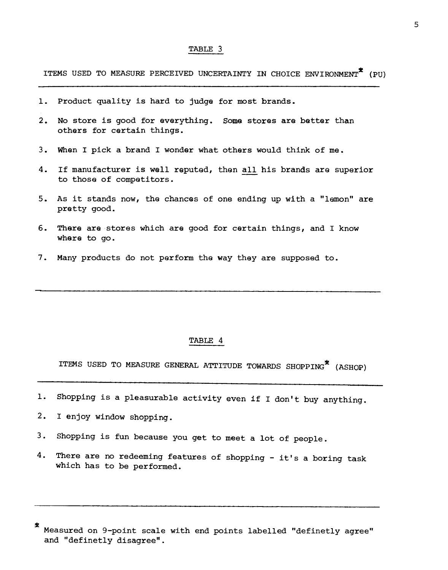ITEMS USED TO MEASURE PERCEIVED UNCERTAINTY IN CHOICE ENVIRONMENT<sup>7</sup> (PU)

- 1. Product quality is hard to judge for most brands.
- 2. No store is good for everything. Some stores are better than others for certain things.
- 3. When I pick a brand I wonder what others would think of me.
- 4. If manufacturer is well reputed, then all his brands are superior to those of competitors.
- 5. As it stands now, the chances of one ending up with a "lemon" are pretty good.
- 6. There are stores which are good for certain things, and I know where to go.
- 7. Many products do not perform the way they are supposed to.

## TABLE 4

ITEMS USED TO MEASURE GENERAL ATTITUDE TOWARDS SHOPPING\* (ASHOP)

- 1. Shopping is a pleasurable activity even if I don't buy anything.
- 2. I enjoy window shopping.
- 3. Shopping is fun because you get to meet a lot of people.
- 4. There are no redeeming features of shopping it's a boring task which has to be performed.

<sup>\*</sup>  Measured on 9-point scale with end points labelled "definetly agree" and "definetly disagree".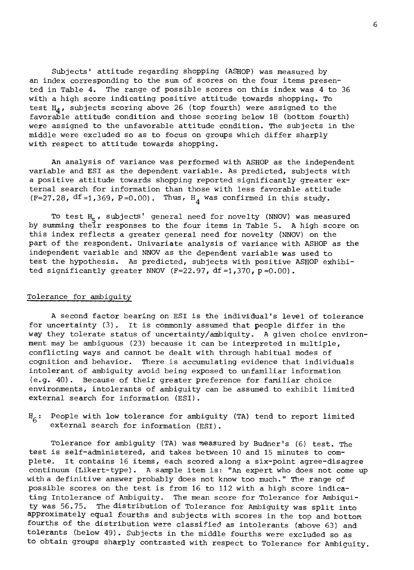Subjects' attitude regarding shopping (ASHOP) was measured by an index corresponding to the sum of scores on the four items presented in Table 4. The range of possible scores on this index was 4 to 36 with a high score indicating positive attitude towards shopping. To test  $H_A$ , subjects scoring above 26 (top fourth) were assigned to the favorable attitude condition and those scoring below 18 (bottom fourth) were assigned to the unfavorable attitude condition. The subjects in the middle were excluded so as to focus on groups which differ sharply with respect to attitude towards shopping.

An analysis of variance was performed with ASHOP as the independent variable and ESI as the dependent variable. As predicted, subjects with a positive attitude towards shopping reported significantly greater external search for information than those with less favorable attitude (F=27.28,  $df = 1,369$ , P=0.00). Thus,  $H_A$  was confirmed in this study.

To test H<sub>F</sub>, subjects' general need for novelty (NNOV) was measured<br>mming thair responses to the four items in Table 5, a high score O by summing their responses to the four items in Table 5. A high score on this index reflects a greater general need for novelty (NNOV) on the part of the respondent. Univariate analysis of variance with ASHOP as the independent variable and NNOV as the dependent variable was used to test the hypothesis. As predicted, subjects with positive ASHOP exhibited significantly greater NNOV (F=22.97, df=1,370, p=0.00).

## Tolerance for ambiguity

A second factor bearing on ESI is the individual's level of tolerance for uncertainty (3). It is commonly assumed that people differ in the way they tolerate status of uncertainty/ambiquity. A given choice environment may be ambiguous (23) because it can be interpreted in multiple, conflicting ways and cannot be dealt with through habitual modes of cognition and behavior. There is accumulating evidence that individuals intolerant of ambiguity avoid being exposed to unfamiliar information (e.g. 40). Because of their greater preference for familiar choice environments, intolerants of ambiguity can be assumed to exhibit limited external search for information (ESI).

 $H_{6}:$  People with low tolerance for ambiguity (TA) tend to report limited external search for information (ESI).

Tolerance for ambiguity (TA) was measured by Budner's (6) test. The test is self-administered, and takes between 10 and 15 minutes to complete. It contains 16 items, each scored along a six-point agree-disagree continuum (Likert-type). A sample item is: "An expert who does not come up with a definitive answer probably does not know too much." The range of possible scores on the test is from 16 to 112 with a high score indicating Intolerance of Ambiguity. The mean score for Tolerance for Ambiquity was 56.75. The distribution of Tolerance for Ambiguity was split into approximately equal fourths and subjects with scores in the top and bottom fourths of the distribution were classified as intolerants (above 63) and tolerants (below 49). Subjects in the middle fourths were excluded so as to obtain groups sharply contrasted with respect to Tolerance for Ambiguity.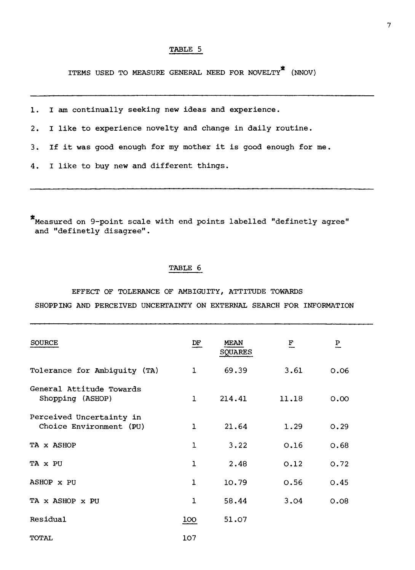ITEMS USED TO MEASURE GENERAL NEED FOR NOVELTY\* (NNOV)

1. I am continually seeking new ideas and experience.

2. I like to experience novelty and change in daily routine.

3. If it was good enough for my mother it is good enough for me.

4. I like to buy new and different things.

Measured on 9-point scale with end points labelled "definetly agree" and "definetly disagree".

## TABLE 6

EFFECT OF TOLERANCE OF AMBIGUITY, ATTITUDE TOWARDS SHOPPING AND PERCEIVED UNCERTAINTY ON EXTERNAL SEARCH FOR INFORMATION

| <b>SOURCE</b>                                       | DF           | <b>MEAN</b><br><b>SQUARES</b> | $\overline{\mathbf{F}}$ | $\overline{b}$ |  |
|-----------------------------------------------------|--------------|-------------------------------|-------------------------|----------------|--|
| Tolerance for Ambiguity (TA)                        | $\mathbf{1}$ | 69.39                         | 3.61                    | 0.06           |  |
| General Attitude Towards<br>Shopping (ASHOP)        | $\mathbf{1}$ | 214.41                        | 11.18                   | 0.00           |  |
| Perceived Uncertainty in<br>Choice Environment (PU) | $\mathbf{1}$ | 21.64                         | 1.29                    | 0.29           |  |
| TA x ASHOP                                          | 1            | 3.22                          | 0.16                    | 0.68           |  |
| TA x PU                                             | 1            | 2.48                          | 0.12                    | 0.72           |  |
| ASHOP x PU                                          | $\mathbf{1}$ | 10.79                         | 0.56                    | 0.45           |  |
| TA x ASHOP x PU                                     | $\mathbf{1}$ | 58.44                         | 3.04                    | 0.08           |  |
| Residual                                            | 100          | 51.07                         |                         |                |  |
| TOTAL                                               | 107          |                               |                         |                |  |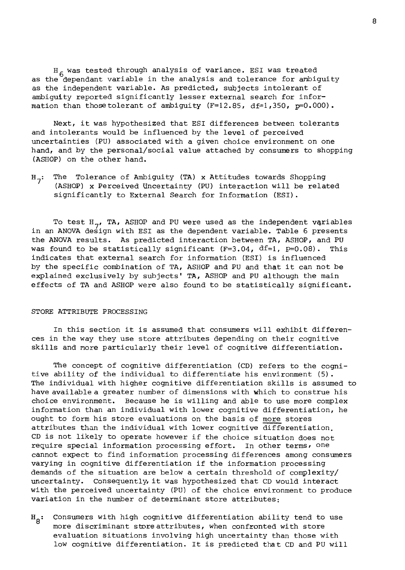H<sub>6</sub> was tested through analysis of variance. ESI was treated<br>0<sup>6</sup>dependent wariable in the analysis and telerance for ambig as the dependant variable in the analysis and tolerance for ambiguity as the independent variable. As predicted, subjects intolerant of ambiguity reported significantly lesser external search for information than those tolerant of ambiguity  $(F=12.85, df=1,350, p=0.000)$ .

Next, it was hypothesized that ESI differences between tolerants and intolerants would be influenced by the level of perceived uncertainties (PU) associated with a given choice environment on one hand, and by the personal/social value attached by consumers to shopping (ASHOP) on the other hand.

 $H_{7}$ : The Tolerance of Ambiguity (TA) x Attitudes towards Shopping (ASHOP) x Perceived Uncertainty (PU) interaction will be related significantly to External Search for Information (ESI).

To test  $H_{\sigma}$ , TA, ASHOP and PU were used as the independent variables io dest  $n_{\gamma}$ , in, ashor and Fo were used as the independent variable.<br>in an ANOVA design with ESI as the dependent variable. Table 6 presents the ANOVA results. As predicted interaction between TA, ASHOP, and PU was found to be statistically significant  $(F=3.04, df=1, p=0.08)$ . This indicates that external search for information (ESI) is influenced by the specific combination of TA, ASHOP and PU and that it can not be explained exclusively by subjects' TA, ASHOP and PU although the main effects of TA and ASHOP were also found to be statistically significant.

#### STORE ATTRIBUTE PROCESSING

In this section it is assumed that consumers will exhibit differences in the way they use store attributes depending on their cognitive skills and more particularly their level of cognitive differentiation.

The concept of cognitive differentiation (CD) refers to the cognitive ability of the individual to differentiate his environment (5). The individual with higher cognitive differentiation skills is assumed to have available a greater number of dimensions with which to construe his choice environment. Because he is willing and able to use more complex information than an individual with lower cognitive differentiation, he ought to form his store evaluations on the basis of more stores attributes than the individual with lower cognitive differentiation. CD is not likely to operate however if the choice situation does not require special information processing effort. In other terms, one cannot expect to find information processing differences among consumers varying in cognitive differentiation if the information processing demands of the situation are below a certain threshold of complexity/ uncertainty. Consequently,it was hypothesized that CD would interact with the perceived uncertainty (PU) of the choice environment to produce variation in the number of determinant store attributes:

 $H_{\beta}$ : Consumers with high cognitive differentiation ability tend to use more discriminant store attributes, when confronted with store evaluation situations involving high uncertainty than those with low cognitive differentiation. It is predicted that CD and PU will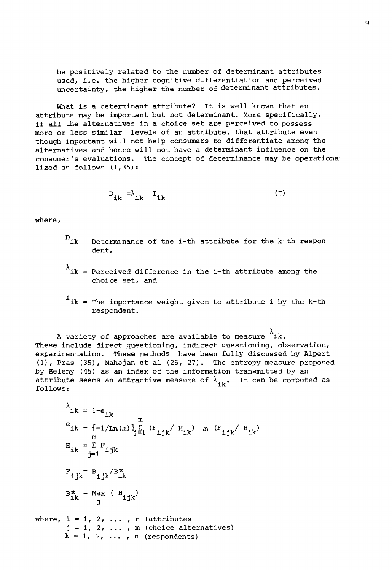be positively related to the number of determinant attributes used, i.e. the higher cognitive differentiation and perceived uncertainty, the higher the number of determinant attributes.

What is a determinant attribute? It is well known that an attribute may be important but not determinant. More specifically, if all the alternatives in a choice set are perceived to possess more or less similar levels of an attribute, that attribute even though important will not help consumera to differentiate among the alternatives and hence will not have a determinant influence on the consumer's evaluations. The concept of determinance may be operationalized as follows  $(1,35)$ :

$$
D_{ik} = \lambda_{ik} I_{ik}
$$
 (1)

where,

- D<br>ik = Determinance of the i-th attribute for the k-th respondent,
- $\lambda$ <sub>ik</sub> = Perceived difference in the i-th attribute among the choice set, and
- I ik = The importance weight given to attribute i by the k-th respondent.

A variety of approaches are available to measure  $\lambda$ ik. These include direct questioning, indirect questioning, observation, experimentation. These methods have been fully discussed by Alpert (1), Pras (35), Mahajan et al (26, 27). The entropy measure proposed by Eeleny (45) as an index of the information transmitted by an attribute seems an attractive measure of  $\lambda_{ijk}$ . It can be computed as follows:

$$
{}^{\lambda}ik = 1-e_{ik}
$$
\n
$$
e_{ik} = \{-1/Ln(m)\}_{j=1}^{n} (F_{ijk} / H_{ik}) Ln (F_{ijk} / H_{ik})
$$
\n
$$
H_{ik} = \sum_{j=1}^{n} F_{ijk}
$$
\n
$$
F_{ijk} = B_{ijk} / B_{ik}^*
$$
\n
$$
B_{ik}^* = Max (B_{ijk})
$$
\nwhere,  $i = 1, 2, ..., n$  (attributes  
\n $j = 1, 2, ..., m$  (choice alternatives)  
\n $k = 1, 2, ..., n$  (response alternatives)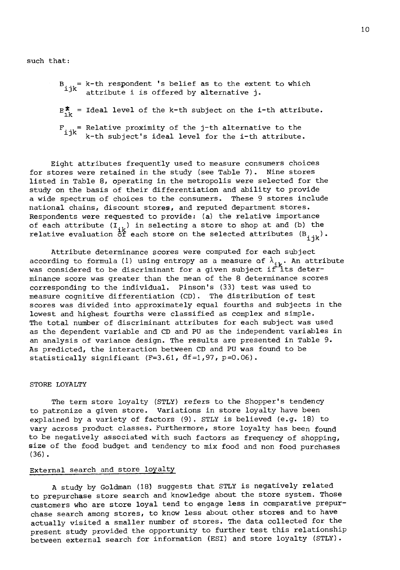such that:

- B = k-th respondent 's belief as to the extent to which<br><sup>ijk</sup> attribute i is offered by alternative j.
- $E_{i,k}^*$  = Ideal level of the k-th subject on the i-th attribute.
- $F_i$  = Relative proximity of the j-th alternative to the i-th subject's ideal level for the i-th attribute.

Eight attributes frequently used to measure consumers choices for stores were retained in the study (see Table 7). Nine stores listed in Table 8, operating in the metropolis were selected for the study on the basis of their differentiation and ability to provide a wide spectrum of choices to the consumers. These 9 stores include national chains, discount stores, and reputed department stores. Respondents were requested to provide: (a) the relative importance of each attribute  $(I_{j,k})$  in selecting a store to shop at and (b) the relative evaluation  $\sf{\dot{\bar{o}}\dot{f}}$  each store on the selected attributes  $({\tt Bi{\bf j}k})$ .

Attribute determinance scores were computed for each subject according to formula (1) using entropy as a measure of  $\lambda$ . : its  $\lambda_{\mathtt{ik}}$ . An attribute was considered to be discriminant for a given subject if its determinance score was greater than the mean of the 8 determinance scores corresponding to the individual. Pinson's (33) test was used to measure cognitive differentiation (CD). The distribution of test scores was divided into approximately equal fourths and subjects in the lowest and highest fourths were classified as complex and simple. The total number of discriminant attributes for each subject was used as the dependent variable and CD and PU as the independent variables in an analysis of variance design. The results are presented in Table 9. As predicted, the interaction between CD and PU was found to be statistically significant (F=3.61, df=1,97, p=0.06).

# STORE LOYALTY

The term store loyalty (STLY) refers to the Shopper's tendency to patronize a given store. Variations in store loyalty have been explained by a variety of factors (9). STLY is believed (e.g. 18) to vary across product classes. Furthermore, store loyalty has been found to be negatively associated with such factors as frequency of shopping, size of the food budget and tendency to mix food and non food purchases (36).

## External search and store loyalty

A study by Goldman (18) suggests that STLY is negatively related to prepurchase store search and knowledge about the store system. Those customers who are store loyal tend to engage less in comparative prepurchase search among stores, to know less about other stores and to have actually visited a smaller number of stores. The data collected for the present study provided the opportunity to further test this relationship between external search for information (ESI) and store loyalty (STLY).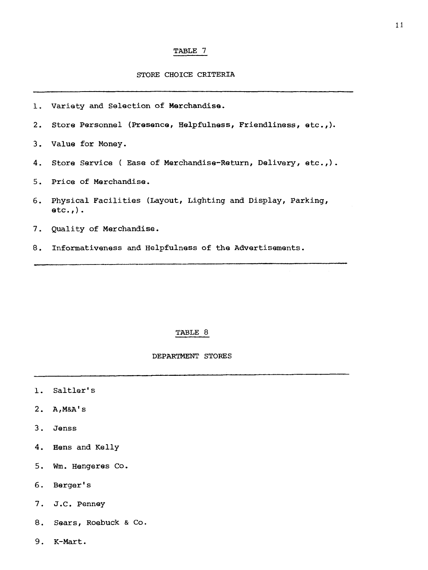## STORE CHOICE CRITERIA

- 1. Variety and Selection of Marchandise.
- 2. Store Personnel (Presence, Helpfulness, Friendliness, etc.,).
- 3. Value for Money.
- 4. Store Service ( Ease of Merchandise-Return, Delivery, etc.,).
- 5. Price of Merchandise.
- 6. Physical Facilities (Layout, Lighting and Display, Parking,  $etc.,$ ).
- 7. Quality of Merchandise.
- 8. Informativeness and Helpfulness of the Advertisements.

#### TABLE 8

#### DEPARTMENT STORES

- 1. Saltler's
- 2. A,M&A's
- 3. Jenss
- 4. Hens and Kelly
- 5. Wm. Hengeres Co.
- 6. Berger's
- 7. J.C. Penney
- 8. Sears, Roebuck & Co.
- 9. K-Mart.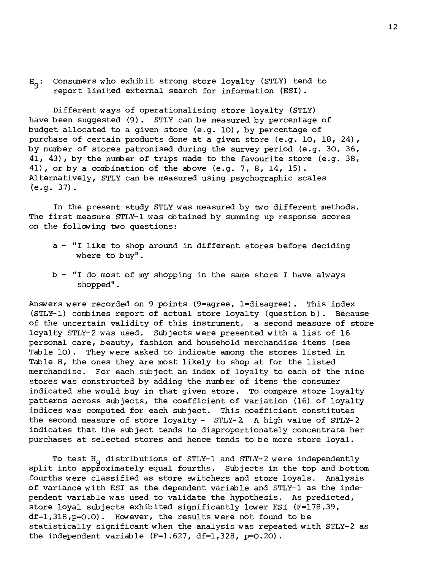H<sub>9</sub>: Consumers who exhibit strong store loyalty (STLY) tend to<br>separate limited external search for information (EST) report limited external search for information (ESI).

Different ways of operationalising store loyalty (STLY) have been suggested (9). STLY can be measured by percentage of budget allocated to a given store (e.g. 10), by percentage of purchase of certain products done at a given store (e.g. 10, 18, 24), by number of stores patronised during the survey period (e.g. 30, 36, 41, 43), by the number of trips made to the favourite store (e.g. 38, 41), or by a combination of the above (e.g. 7, 8, 14, 15). Alternatively, STLY can be measured using psychographic scales (e.g. 37).

In the present study STLY was measured by two different methods. The first measure STLY-1 was dbtained by summing up response scores on the following two questions:

- a "I like to shop around in different stores before deciding where to buy".
- $b "I$  do most of my shopping in the same store I have always shopped".

Answers were recorded on 9 points (9=agree, 1=disagree). This index (STLY-1) combines report of actual store loyalty (question b). Because of the uncertain validity of this instrument, a second measure of store loyalty STLY-2 was used. Subjects were presented with a list of 16 personal care, beauty, fashion and household merchandise items (see Table 10). They were asked to indicate among the stores listed in Table 8, the ones they are most likely to shop at for the listed merchandise. For each subject an index of loyalty to each of the nine stores was constructed by adding the number of items the consumer indicated she would buy in that given store. To compare store loyalty patterns across subjects, the coefficient of variation (16) of loyalty indices was computed for each subject. This coefficient constitutes the second measure of store loyalty - STLY-2 A high value of STLY-2 indicates that the subject tends to disproportionately concentrate her purchases at selected stores and hence tends to be more store loyal.

To test  $H_q$  distributions of STLY-1 and STLY-2 were independently Split into approximately equal fourths. Subjects in the top and bottom fourths were classified as store switchers and store loyals. Analysis of variance with ESI as the dependent variable and STLY-1 as the independent variable was used to validate the hypothesis. As predicted, store loyal subjects exhibited significantly lover ESI (F=178.39,  $df=1,318, p=0.0$ ). However, the results were not found to be statistically significant when the analysis was repeated with STLY-2 as the independent variable  $(F=1.627, df=1,328, p=0.20)$ .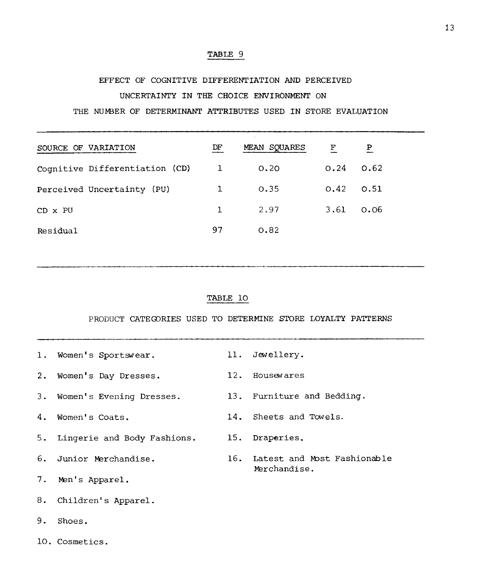# EFFECT OF COGNITIVE DIFFERENTIATION AND PERCEIVED UNCERTAINTY IN THE CHOICE ENVIRONMENT ON THE NUMBER OF DETERMINANT ATTRIBUTES USED IN STORE EVALUATION

SOURCE OF VARIATION DF MEAN SQUARES F P Cognitive Differentiation (CD) 1 0.20 0.24 0.62 Perceived Uncertainty (PU)  $1$  0.35 0.42 0.51 CD x PU  $1$  2.97 3.61 0.06 Residual 97 0.82

TABLE 10

PRODUCT CATEGORIES USED TO DETERMINE STORE LOYALTY PATTERNS

1. Women's Sportswear. 11. Jewellery. 2. Women's Day Dresses. 12. Housewares 3. Women's Evening Dresses. 13. Furniture and Bedding. 4. Women's Coats. 14. Sheets and Towels. 5. Lingerie and Body Fashions. 15. Draperies. 6. Junior Marchandise. 16. Latest and Most Fashionable Merchandise. 7. Men's Apparel. 8. Children's Apparel. 9. Shoes. 10. Cosmetics.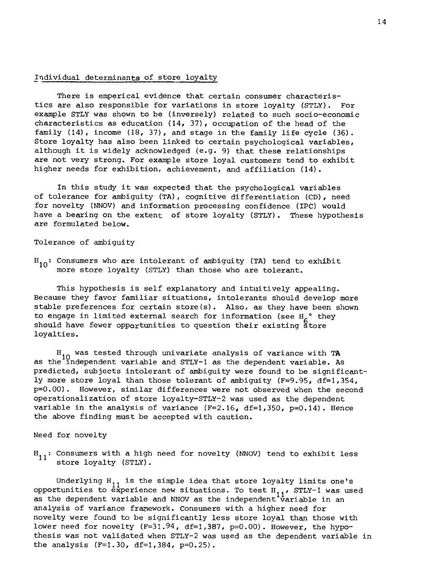#### Individuel determinants of store loyalty

There is emperical evidence that certain consumer characteristics are also responsible for variations in store loyalty (STLY). For example STLY was shown to be (inversely) related to such socio-economic characteristics as education  $(14, 37)$ , occupation of the head of the family (14), income (18, 37), and stage in the family life cycle (36). Store loyalty has also been linked to certain psychological variables, although it is widely acknowledged (e.g. 9) that these relationships are not very strong. For example store loyal customers tend to exhibit higher needs for exhibition, achievement, and affiliation (14).

In this study it was expected that the psychological variables of tolerance for ambiguity (TA), cognitive differentiation (CD), need for novelty (NNOV) and information processing confidence (IPC) would have a bearing on the extent of store loyalty (STLY). These hypothesis are formulated below.

Tolerance of ambiguity

 $H_{10}$ : Consumers who are intolerant of ambiguity (TA) tend to exhibit more store loyalty (STLY) than those who are tolerant.

This hypothesis is self explanatory and intuitively appealing. Because they favor familier situations, intolerants should develop more stable preferences for certain store(s). Also, as they have been shown to engage in limited external search for information (see H<sub>e</sub>° they should have fewer opportunities to question their existing Store loyalties.

H 10 was tested through univariate analysis of variance with **TA**  as the independent variable and STLY-1 as the dependent variable. As predicted, subjects intolerant of ambiguity were found to be significantly more store loyal than those tolerant of ambiguity (F=9.95, df=1,354, p=0.00). However, similar differences were not observed when the second operationalization of store loyalty-STLY-2 was used as the dependent variable in the analysis of variance  $(F=2.16, df=1,350, p=0.14)$ . Hence the above finding must be accepted with caution.

Need for novelty

 $H_{11}$ : Consumers with a high need for novelty (NNOV) tend to exhibit less store loyalty (STLY).

Underlying  $H_{11}$  is the simple idea that store loyalty limits one's opportunities to experience new situations. To test  $H_{1,1}$ , STLY-1 was used as the dependent variable and NNOV as the independent variable in an analysis of variance framework. Consumers with a higher need for novelty were found to be significantly less store loyal than those with lower need for novelty  $(F=31.94, df=1,387, p=0.00)$ . However, the hypothesis was not validated when STLY-2 was used as the dependent variable in the analysis (F=1.30, df=1,384, p=0.25).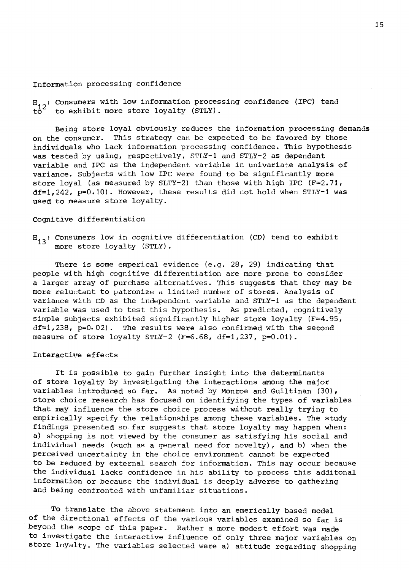#### Information processing confidence

 $H_{12}$ : Consumers with low information processing confidence (IPC) tend to exhibit more store loyalty (STLY).

Being store loyal obviously reduces the information processing demands on the consumer. This strategy can be expected to be favored by those individuals who lack information processing confidence. This hypothesis was tested by using, respectively, STLY-1 and STLY-2 as dependent variable and IPC as the independent variable in univariate analysis of variance. Subjects with low IPC were found to be significantly more store loyal (as measured by SLTY-2) than those with high IPC  $(F=2.71,$  $df=1,242$ ,  $p=0.10$ ). However, these results did not hold when STLY-1 was used to measure store loyalty.

#### Cognitive differentiation

 $H_{13}$ : Consumers low in cognitive differentiation (CD) tend to exhibit more store loyalty (STLY).

There is some emperical evidence (e.g. 28, 29) indicating that people with high cognitive differentiation are more prone to consider a larger array of purchase alternatives. This suggests that they may be more reluctant to patronize a limited number of stores. Analysis of variance with CD as the independent variable and STLY-1 as the dependent variable was used to test this hypothesis. As predicted, cognitively simple subjects exhibited significantly higher store loyalty ( $F=4.95$ , df=1,238, p=0.02). The results were also confirmed with the second measure of store loyalty STLY-2 (F=6.68, df=1,237,  $p=0.01$ ).

### Interactive effects

It is possible to gain further insight into the determinants of store loyalty by investigating the interactions among the major variables introduced so far. As noted by Monroe and Guiltinan (30), store choice research has focused on identifying the types of variables that may influence the store choice process without really trying to empirically specify the relationships among these variables. The study findings presented so far suggests that store loyalty may happen when: a) shopping is not viewed by the consumer as satisfying his social and individual needs (such as a general need for novelty), and b) when the perceived uncertainty in the choice environnent cannot be expected to be reduced by external search for information. This may occur because the individual lacks confidence in his ability to process this additonal information or because the individual is deeply adverse to gathering and being confronted with unfamiliar situations.

To translate the above statement into an emerically based model of the directional effects of the various variables examined so far is beyond the scope of this paper. Rather a more modest effort was made to investigate the interactive influence of only three major variables on store loyalty. The variables selected were a) attitude regarding shopping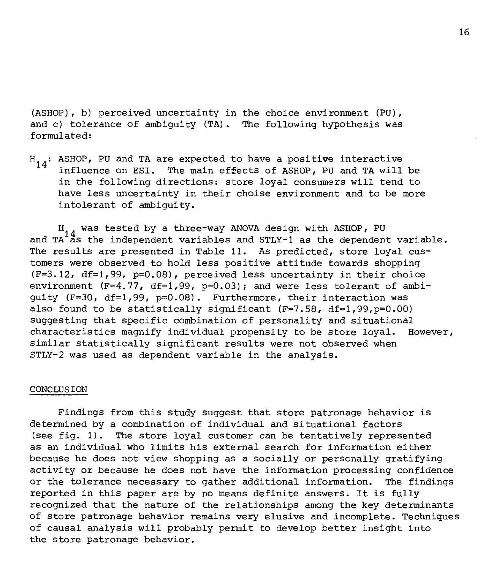(ASHOP), b) perceived uncertainty in the choice environment (PU), and c) tolerance of ambiguity (TA). The following hypothesis was formulated:

 $H_{14}$ : ASHOP, PU and TA are expected to have a positive interactive influence on ESI. The main effects of ASHOP, PU and TA will be in the following directions: store loyal consumera will tend to have less uncertainty in their choise environment and to be more intolérant of ambiguity.

H, was tested by a three-way ANOVA design with ASHOP, PU<br>A<sup>14</sup>s the independent unriphles and smrv-1 as the dependent and TA<sup>1</sup>as the independent variables and STLY-1 as the dependent variable. The results are presented in Table 11. As predicted, store loyal customers were observed to hold less positive attitude towards shopping (F=3.12, df=1,99, p=0.08), perceived less uncertainty in their choice environment  $(F=4, 77, df=1, 99, p=0.03)$ ; and were less tolerant of ambiguity (F=30, df=1,99, p=0.08). Furthermore, their interaction was also found to be statistically significant  $(F=7.58, df=1.99, p=0.00)$ suggesting that specific combination of personality and situational characteristics magnify individual propensity to be store loyal. However, similar statistically significant results were not observed when STLY-2 was used as dependent variable in the analysis.

#### CONCLUSION

Findings from this study suggest that store patronage behavior is determined by a combination of individual and situational factors (see fig. 1). The store loyal customer can be tentatively represented as an individual who limits his external search for information either because he does not view shopping as a socially or personally gratifying activity or because he does not have the information processing confidence or the tolerance necessary to gather additional information. The findings reported in this paper are by no means definite answers. It is fully recognized that the nature of the relationships among the key determinants of store patronage behavior remains very elusive and incomplete. Techniques of causal analysis will probably permit to develop better insight into the store patronage behavior.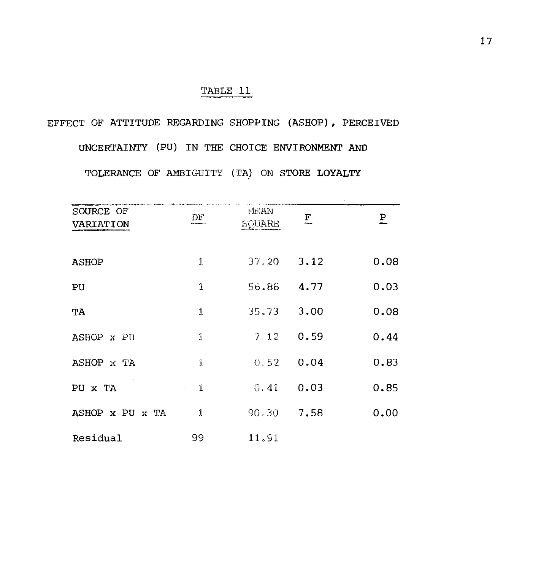# EFFECT OF ATTITUDE REGARDING SHOPPING (ASHOP), PERCEIVED

UNCERTAINTY (PU) IN THE CHOICE ENVIRONMENT AND TOLERANCE OF AMBIGUITY (TA) ON STORE LOYALTY

| SOURCE OF<br>VARIATION | DΡ            | <b>MEAN</b><br>SQUARE | E | $\overline{P}$ |
|------------------------|---------------|-----------------------|---|----------------|
| <b>ASHOP</b>           | 1             | $37.20$ $3.12$        |   | 0.08           |
| PU                     | $\mathbf{1}$  | 56.86 4.77            |   | 0.03           |
| TА                     | 1             | $35.73$ 3.00          |   | 0.08           |
| ASHOP X PU             | $\frac{a}{1}$ | $7.12 \quad 0.59$     |   | 0.44           |
| ASHOP X TA             | $\hat{1}$     | $0.52 \quad 0.04$     |   | 0.83           |
| PU X TA                | Ť.            | $0.41$ 0.03           |   | 0.85           |
| ASHOP X PU X TA        | $\mathbf{1}$  | $90.30$ 7.58          |   | 0.00           |
| Residual               | 99            | 11,91                 |   |                |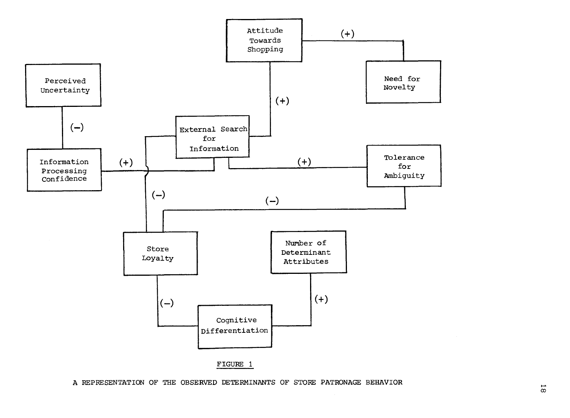

A REPRESENTATION OF THE OBSERVED DETERMINANTS OF STORE PATRONAGE BEHAVIOR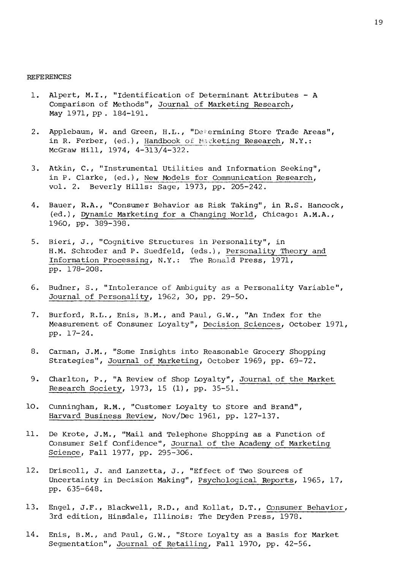#### REFERENCES

- 1. Alpert, M.I., "Identification of Determinant Attributes A Comparison of Methods", Journal of Marketing Research, May 1971,pp. 184-191.
- 2. Applebaum, W. and Green, H.L., "Determining Store Trade Areas", in R. Ferber, (ed.), Handbook of Marketing Research, N.Y.: McGraw Hill, 1974, 4-313/4-322.
- 3. Atkin, C., "Instrumental Utilities and Information Seeking", in P. Clarke, (ed.), New Models for Communication Research, vol. 2. Beverly Hills: Sage, 1973, pp. 205-242.
- 4. Bauer, R.A., "Consumer Behavior as Risk Taking", in R.S. Hancock, (ed.), Dynamic Marketing for a Changing World, Chicago: A.M.A., 1960, pp. 389-398.
- 5. Bieri, J., "Cognitive Structures in Personality", in H.M. Schroder and P. Suedfeld, (eds.), Personality Theory and Information Processing, N.Y.: The Ronald Press, 1971, pp. 178-208.
- 6. Budner, S., "Intolerance of Ambiguity as a Personality Variable", Journal of Personality, 1962, 30, pp. 29-50.
- 7. Burford, R.L., Enis, B.M., and Paul, G.W., "An Index for the Measurement of Consumer Loyalty", Decision Sciences, October 1971, pp. 17-24.
- 8. Carman, J.M., "Some Insights into Reasonable Grocery Shopping Strategies", Journal of Marketing, October 1969, pp. 69-72.
- 9. Charlton, P., "A Review of Shop Loyalty", Journal of the Market Research Society, 1973, 15 (1), pp. 35-51.
- 10. Cunningham, R.M., "Customer Loyalty to Store and Brand", Harvard Business Review, Nov/Dec 1961, pp. 127-137.
- 11. De Krote, J.M., "Mail and Telephone Shopping as a Function of Consumer Self Confidence", Journal of the Academy of Marketing Science, Fall 1977, pp. 295-306.
- 12. Driscoll, J. and Lanzetta, J., "Effect of Two Sources of Uncertainty in Decision Making", Psychological Reports, 1965, 17, pp. 635-648.
- 13. Engel, J.F., Blackwell, R.D., and Kollat, D.T., Consumer Behavior, 3rd edition, Hinsdale, Illinois: The Dryden Press, 1978.
- 14. Enis, B.M., and Paul, G.W., "Store Loyalty as a Basis for Market Segmentation", Journal of Retailing, Fall 1970, pp. 42-56.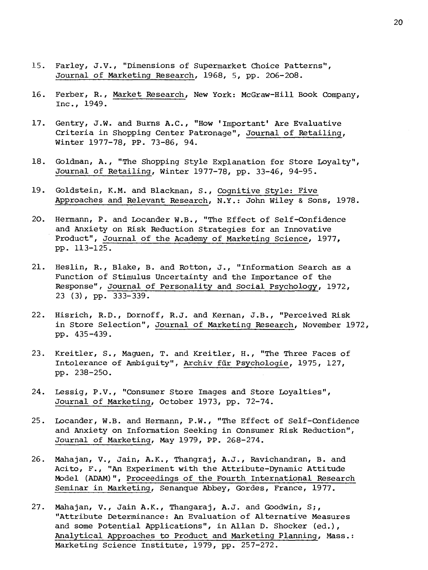- 15. Farley, J.V., "Dimensions of Supermarket Choice Patterns", Journal of Marketing Research, 1968, 5, pp. 206-208.
- 16. Ferber, R., Market Research, New York: McGraw-Hill Book Company, Inc., 1949.
- 17. Gentry, J.W. and Burns A.C., "How 'Important' Are Evaluative Criteria in Shopping Center Patronage", Journal of Retailing, Winter 1977-78, PP. 73-86, 94.
- 18. Goldman, A., "The Shopping Style Explanation for Store Loyalty", Journal of Retailing, Winter 1977-78, pp. 33-46, 94-95.
- 19. Goldstein, K.M. and Blackman, S., Cognitive Style: Five Approaches and Relevant Research, N.Y.: John Wiley & Sons, 1978.
- 20. Hermann, P. and Locander W.B., "The Effect of Self-Confidence and Anxiety on Risk Reduction Strategies for an Innovative Product", Journal of the Academy of Marketing Science, 1977, pp. 113-125.
- 21. Heslin, R., Blake, B. and Rotton, J., "Information Search as a Function of Stimulus Uncertainty and the Importance of the Response", Journal of Personality and Social Psychology, 1972, 23 (3), pp. 333-339.
- 22. Hisrich, R.D., Dornoff, R.J. and Kernan, J.B., "Perceived Risk in Store Selection", Journal of Marketing Research, November 1972, pp. 435-439.
- 23. Kreitler, S., Maguen, T. and Kreitler, H., "The Three Faces of Intolerance of Ambiguity", Archiv für Psychologie, 1975, 127, pp. 238-250.
- 24. Lessig, P.V., "Consumer Store Images and Store Loyalties", Journal of Marketing, October 1973, pp. 72-74.
- 25. Locander, W.B. and Hermann, P.W., "The Effect of Self-Confidence and Anxiety on Information Seeking in Consumer Risk Reduction", Journal of Marketing, May 1979, PP. 268-274.
- 26. Mahajan, V., Jain, A.K., Thangraj, A.J., Ravichandran, B. and Acito, F., "An Experiment with the Attribute-Dynamic Attitude Model (ADAM)", Proceedings of the Fourth International Research Seminar in Marketing, Senanque Abbey, Gordes, France, 1977.
- 27. Mahajan, V., Jain A.K., Thangaraj, A.J. and Goodwin, S;, "Attribute Determinance: An Evaluation of Alternative Measures and some Potential Applications", in Allan D. Shocker (ed.), Analytical Approaches to Product and Marketing Planning, Mass.: Marketing Science Institute, 1979, pp. 257-272.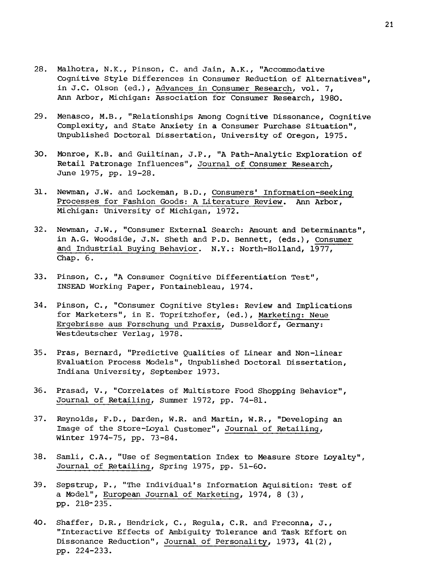- 28. Malhotra, N.K., Pinson, C. and Jain, A.K., "Accommodative Cognitive Style Differences in Consumer Reduction of Alternatives", in J.C. Olson (ed.), Advances in Consumer Research, vol. 7, Ann Arbor, Michigan: Association for Consumer Research, 1980.
- 29. Menasco, M.B., "Relationships Among Cognitive Dissonance, Cognitive Complexity, and State Anxiety in a Consumer Purchase Situation", Unpublished Doctoral Dissertation, University of Oregon, 1975.
- 30. Monroe, K.B. and Guiltinan, J.P., "A Path-Analytic Exploration of Retail Patronage Influences", Journal of Consumer Research, June 1975, pp. 19-28.
- 31. Newman, J.W. and Lockeman, B.D., Consumers' Information-seeking Processes for Fashion Goods: A Literature Review. Ann Arbor, Michigan: University of Michigan, 1972.
- 32. Newman, J.W., "Consumer External Search: Amount and Determinants", in A.G. Woodside, J.N. Sheth and P.D. Bennett, (eds.), Consumer and Industrial Buying Behavior. N.Y.: North-Holland, 1977, Chap. 6.
- 33. Pinson, C., "A Consumer Cognitive Differentiation Test", INSEAD Working Paper, Fontainebleau, 1974.
- 34. Pinson, C., "Consumer Cognitive Styles: Review and Implications for Marketers", in E. Topritzhofer, (ed.), Marketing: Neue Ergebrisse aus Forschung und Praxis, Dusseldorf, Germany: Westdeutscher Verlag, 1978.
- 35. Pras, Bernard, "Predictive Qualities of Linear and Non-linear Evaluation Process Models", Unpublished Doctoral Dissertation, Indiana University, September 1973.
- 36. Prasad, V., "Correlates of Multistore Food Shopping Behavior", Journal of Retailing, Summer 1972, pp. 74-81.
- 37. Reynolds, F.D., Darden, W.R. and Martin, W.R., "Developing an Image of the Store-Loyal Customer", Journal of Retailing, Winter 1974-75, pp. 73-84.
- 38. Samli, C.A., "Use of Segmentation Index to Measure Store Loyalty", Journal of Retailing, Spring 1975, pp. 51-60.
- 39. Sepstrup, P., "The Individual's Information Aquisition: Test of a Model", European Journal of Marketing, 1974, 8 (3), pp. 218-235.
- 40. Shaffer, D.R., Hendrick, C., Regula, C.R. and Freconna, J., "Interactive Effects of Ambiguity Tolerance and Task Effort on Dissonance Reduction", Journal of Personality, 1973, 41(2), pp. 224-233.